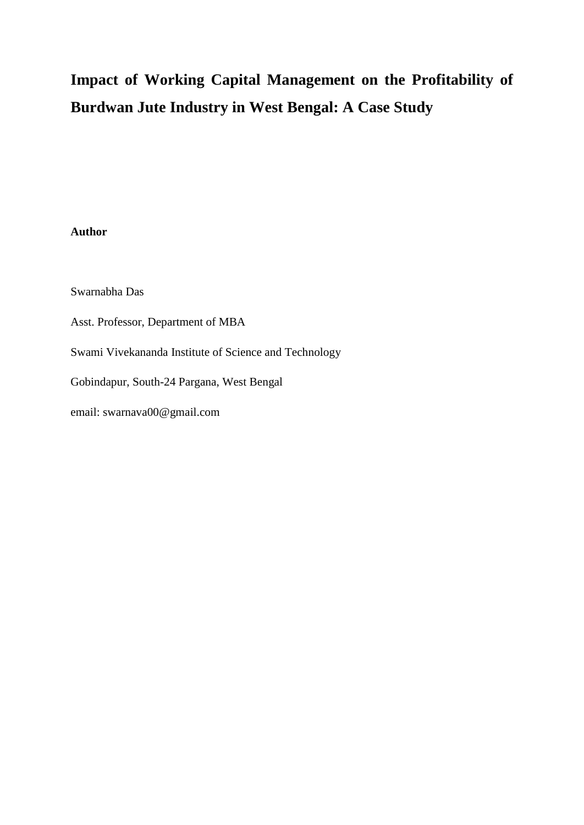# **Impact of Working Capital Management on the Profitability of Burdwan Jute Industry in West Bengal: A Case Study**

# **Author**

Swarnabha Das

Asst. Professor, Department of MBA

Swami Vivekananda Institute of Science and Technology

Gobindapur, South-24 Pargana, West Bengal

email: swarnava00@gmail.com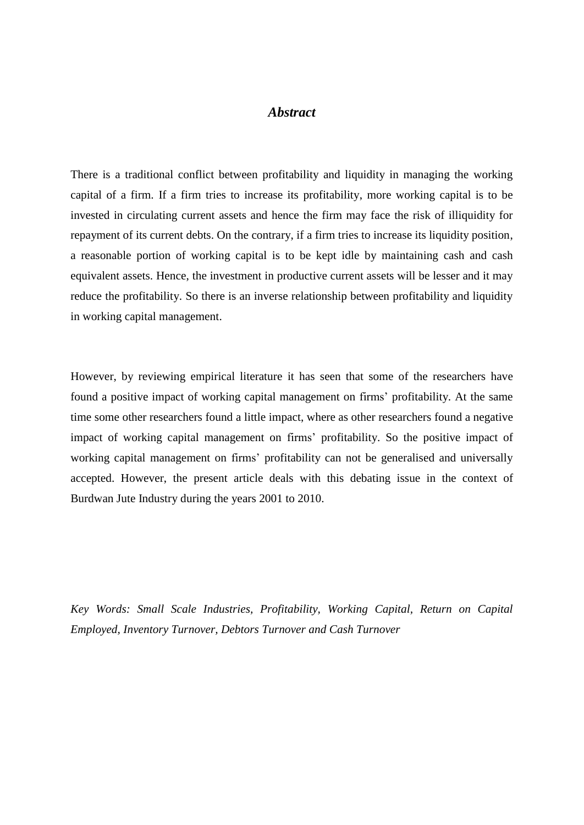# *Abstract*

There is a traditional conflict between profitability and liquidity in managing the working capital of a firm. If a firm tries to increase its profitability, more working capital is to be invested in circulating current assets and hence the firm may face the risk of illiquidity for repayment of its current debts. On the contrary, if a firm tries to increase its liquidity position, a reasonable portion of working capital is to be kept idle by maintaining cash and cash equivalent assets. Hence, the investment in productive current assets will be lesser and it may reduce the profitability. So there is an inverse relationship between profitability and liquidity in working capital management.

However, by reviewing empirical literature it has seen that some of the researchers have found a positive impact of working capital management on firms' profitability. At the same time some other researchers found a little impact, where as other researchers found a negative impact of working capital management on firms' profitability. So the positive impact of working capital management on firms' profitability can not be generalised and universally accepted. However, the present article deals with this debating issue in the context of Burdwan Jute Industry during the years 2001 to 2010.

*Key Words: Small Scale Industries, Profitability, Working Capital, Return on Capital Employed, Inventory Turnover, Debtors Turnover and Cash Turnover*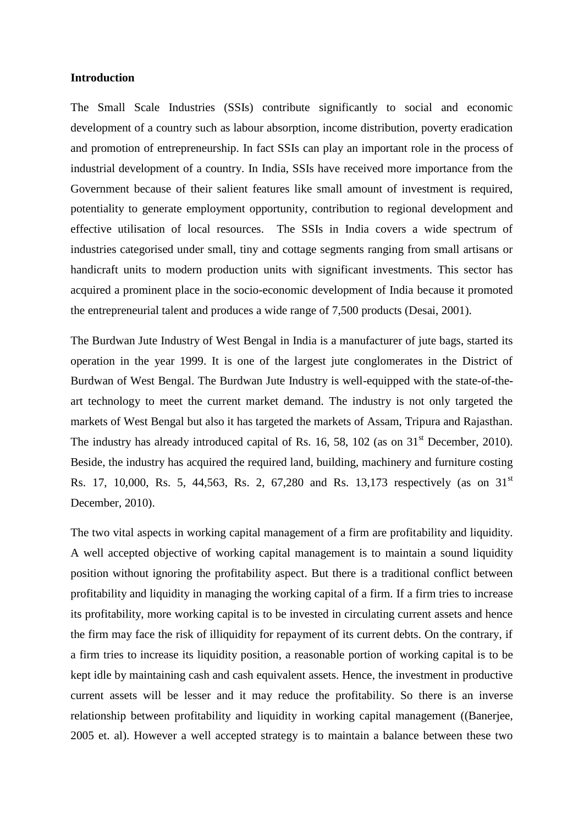## **Introduction**

The Small Scale Industries (SSIs) contribute significantly to social and economic development of a country such as labour absorption, income distribution, poverty eradication and promotion of entrepreneurship. In fact SSIs can play an important role in the process of industrial development of a country. In India, SSIs have received more importance from the Government because of their salient features like small amount of investment is required, potentiality to generate employment opportunity, contribution to regional development and effective utilisation of local resources. The SSIs in India covers a wide spectrum of industries categorised under small, tiny and cottage segments ranging from small artisans or handicraft units to modern production units with significant investments. This sector has acquired a prominent place in the socio-economic development of India because it promoted the entrepreneurial talent and produces a wide range of 7,500 products (Desai, 2001).

The Burdwan Jute Industry of West Bengal in India is a manufacturer of jute bags, started its operation in the year 1999. It is one of the largest jute conglomerates in the District of Burdwan of West Bengal. The Burdwan Jute Industry is well-equipped with the state-of-theart technology to meet the current market demand. The industry is not only targeted the markets of West Bengal but also it has targeted the markets of Assam, Tripura and Rajasthan. The industry has already introduced capital of Rs.  $16$ ,  $58$ ,  $102$  (as on  $31<sup>st</sup>$  December, 2010). Beside, the industry has acquired the required land, building, machinery and furniture costing Rs. 17, 10,000, Rs. 5, 44,563, Rs. 2, 67,280 and Rs. 13,173 respectively (as on 31<sup>st</sup>) December, 2010).

The two vital aspects in working capital management of a firm are profitability and liquidity. A well accepted objective of working capital management is to maintain a sound liquidity position without ignoring the profitability aspect. But there is a traditional conflict between profitability and liquidity in managing the working capital of a firm. If a firm tries to increase its profitability, more working capital is to be invested in circulating current assets and hence the firm may face the risk of illiquidity for repayment of its current debts. On the contrary, if a firm tries to increase its liquidity position, a reasonable portion of working capital is to be kept idle by maintaining cash and cash equivalent assets. Hence, the investment in productive current assets will be lesser and it may reduce the profitability. So there is an inverse relationship between profitability and liquidity in working capital management ((Banerjee, 2005 et. al). However a well accepted strategy is to maintain a balance between these two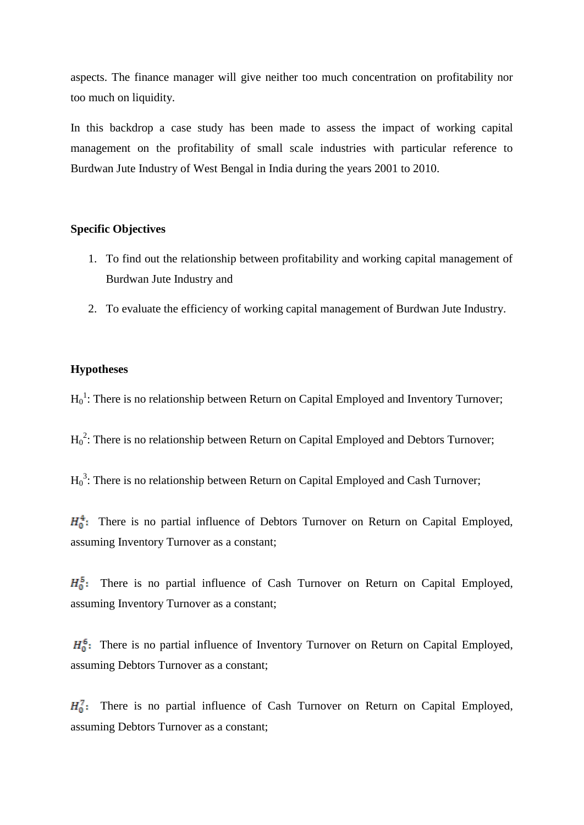aspects. The finance manager will give neither too much concentration on profitability nor too much on liquidity.

In this backdrop a case study has been made to assess the impact of working capital management on the profitability of small scale industries with particular reference to Burdwan Jute Industry of West Bengal in India during the years 2001 to 2010.

## **Specific Objectives**

- 1. To find out the relationship between profitability and working capital management of Burdwan Jute Industry and
- 2. To evaluate the efficiency of working capital management of Burdwan Jute Industry.

# **Hypotheses**

 $H_0^1$ : There is no relationship between Return on Capital Employed and Inventory Turnover;

 $H_0^2$ : There is no relationship between Return on Capital Employed and Debtors Turnover;

 ${H_0}^3$ : There is no relationship between Return on Capital Employed and Cash Turnover;

 $H_0^4$ : There is no partial influence of Debtors Turnover on Return on Capital Employed, assuming Inventory Turnover as a constant;

 $H_0^5$ : There is no partial influence of Cash Turnover on Return on Capital Employed, assuming Inventory Turnover as a constant;

 $H_0^6$ : There is no partial influence of Inventory Turnover on Return on Capital Employed, assuming Debtors Turnover as a constant;

 $H_0^7$ : There is no partial influence of Cash Turnover on Return on Capital Employed, assuming Debtors Turnover as a constant;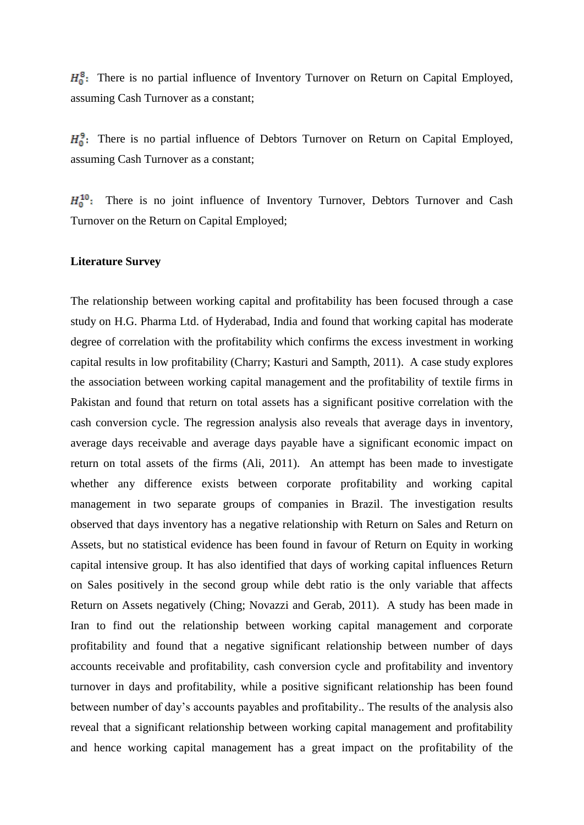$H_0^8$ : There is no partial influence of Inventory Turnover on Return on Capital Employed, assuming Cash Turnover as a constant;

 $H_0^9$ : There is no partial influence of Debtors Turnover on Return on Capital Employed, assuming Cash Turnover as a constant;

 $H_0^{10}$ : There is no joint influence of Inventory Turnover, Debtors Turnover and Cash Turnover on the Return on Capital Employed;

#### **Literature Survey**

The relationship between working capital and profitability has been focused through a case study on H.G. Pharma Ltd. of Hyderabad, India and found that working capital has moderate degree of correlation with the profitability which confirms the excess investment in working capital results in low profitability (Charry; Kasturi and Sampth, 2011). A case study explores the association between working capital management and the profitability of textile firms in Pakistan and found that return on total assets has a significant positive correlation with the cash conversion cycle. The regression analysis also reveals that average days in inventory, average days receivable and average days payable have a significant economic impact on return on total assets of the firms (Ali, 2011). An attempt has been made to investigate whether any difference exists between corporate profitability and working capital management in two separate groups of companies in Brazil. The investigation results observed that days inventory has a negative relationship with Return on Sales and Return on Assets, but no statistical evidence has been found in favour of Return on Equity in working capital intensive group. It has also identified that days of working capital influences Return on Sales positively in the second group while debt ratio is the only variable that affects Return on Assets negatively (Ching; Novazzi and Gerab, 2011). A study has been made in Iran to find out the relationship between working capital management and corporate profitability and found that a negative significant relationship between number of days accounts receivable and profitability, cash conversion cycle and profitability and inventory turnover in days and profitability, while a positive significant relationship has been found between number of day's accounts payables and profitability.. The results of the analysis also reveal that a significant relationship between working capital management and profitability and hence working capital management has a great impact on the profitability of the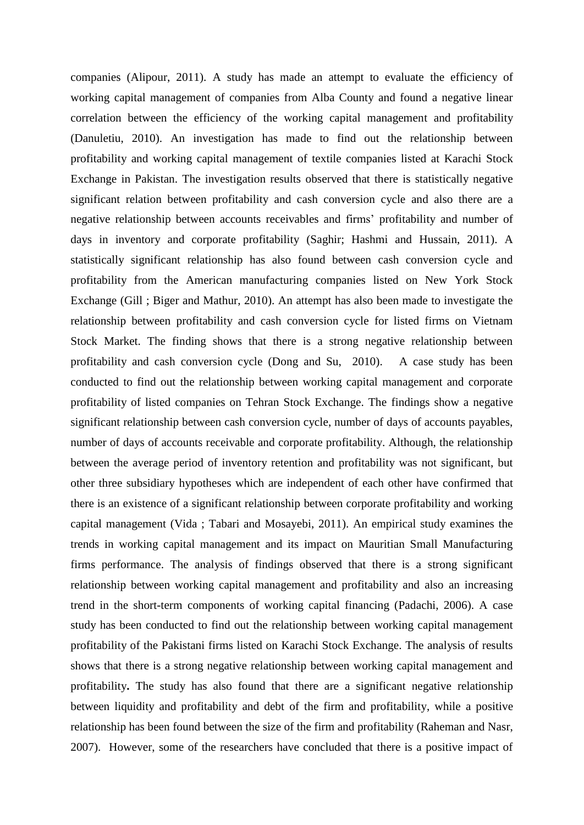companies (Alipour, 2011). A study has made an attempt to evaluate the efficiency of working capital management of companies from Alba County and found a negative linear correlation between the efficiency of the working capital management and profitability (Danuletiu, 2010). An investigation has made to find out the relationship between profitability and working capital management of textile companies listed at Karachi Stock Exchange in Pakistan. The investigation results observed that there is statistically negative significant relation between profitability and cash conversion cycle and also there are a negative relationship between accounts receivables and firms' profitability and number of days in inventory and corporate profitability (Saghir; Hashmi and Hussain, 2011). A statistically significant relationship has also found between cash conversion cycle and profitability from the American manufacturing companies listed on New York Stock Exchange (Gill ; Biger and Mathur, 2010). An attempt has also been made to investigate the relationship between profitability and cash conversion cycle for listed firms on Vietnam Stock Market. The finding shows that there is a strong negative relationship between profitability and cash conversion cycle (Dong and Su, 2010). A case study has been conducted to find out the relationship between working capital management and corporate profitability of listed companies on Tehran Stock Exchange. The findings show a negative significant relationship between cash conversion cycle, number of days of accounts payables, number of days of accounts receivable and corporate profitability. Although, the relationship between the average period of inventory retention and profitability was not significant, but other three subsidiary hypotheses which are independent of each other have confirmed that there is an existence of a significant relationship between corporate profitability and working capital management (Vida ; Tabari and Mosayebi, 2011). An empirical study examines the trends in working capital management and its impact on Mauritian Small Manufacturing firms performance. The analysis of findings observed that there is a strong significant relationship between working capital management and profitability and also an increasing trend in the short-term components of working capital financing (Padachi, 2006). A case study has been conducted to find out the relationship between working capital management profitability of the Pakistani firms listed on Karachi Stock Exchange. The analysis of results shows that there is a strong negative relationship between working capital management and profitability**.** The study has also found that there are a significant negative relationship between liquidity and profitability and debt of the firm and profitability, while a positive relationship has been found between the size of the firm and profitability (Raheman and Nasr, 2007). However, some of the researchers have concluded that there is a positive impact of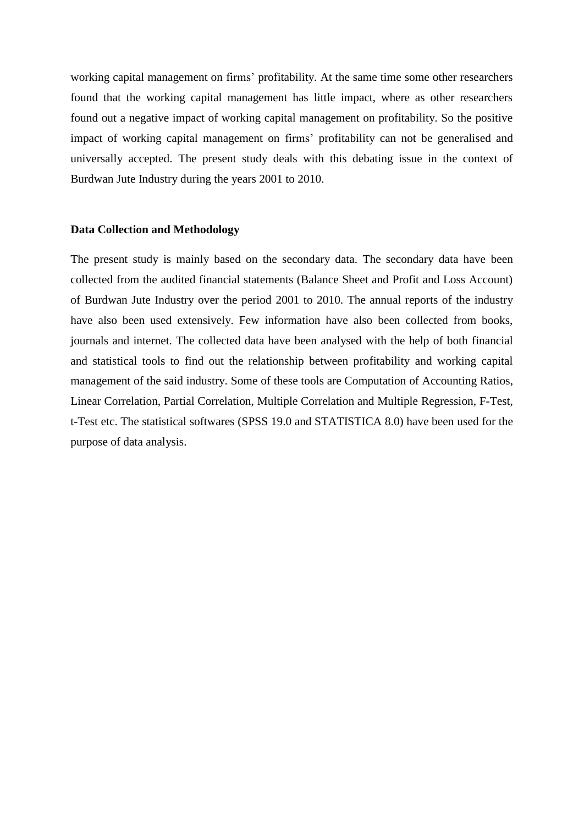working capital management on firms' profitability. At the same time some other researchers found that the working capital management has little impact, where as other researchers found out a negative impact of working capital management on profitability. So the positive impact of working capital management on firms' profitability can not be generalised and universally accepted. The present study deals with this debating issue in the context of Burdwan Jute Industry during the years 2001 to 2010.

#### **Data Collection and Methodology**

The present study is mainly based on the secondary data. The secondary data have been collected from the audited financial statements (Balance Sheet and Profit and Loss Account) of Burdwan Jute Industry over the period 2001 to 2010. The annual reports of the industry have also been used extensively. Few information have also been collected from books, journals and internet. The collected data have been analysed with the help of both financial and statistical tools to find out the relationship between profitability and working capital management of the said industry. Some of these tools are Computation of Accounting Ratios, Linear Correlation, Partial Correlation, Multiple Correlation and Multiple Regression, F-Test, t-Test etc. The statistical softwares (SPSS 19.0 and STATISTICA 8.0) have been used for the purpose of data analysis.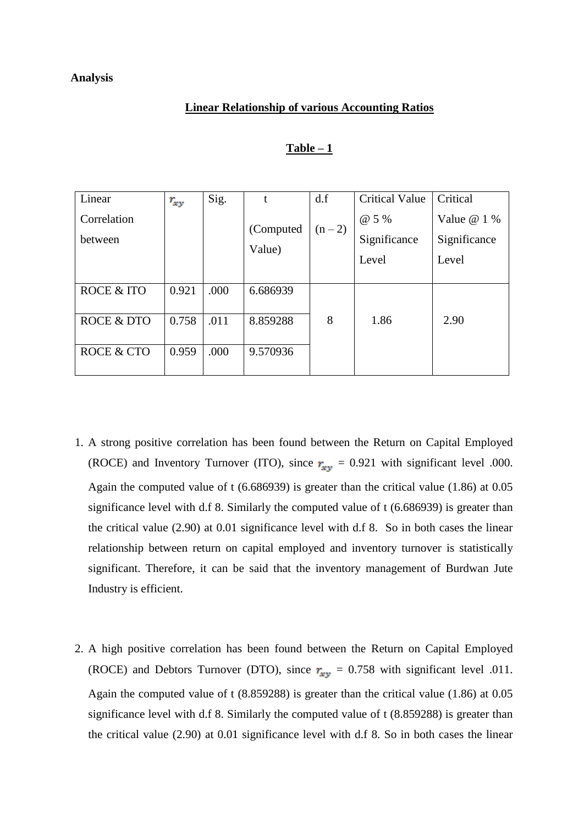## **Analysis**

#### **Linear Relationship of various Accounting Ratios**

| Linear                | $r_{xy}$ | Sig. | $\mathbf{t}$ | d.f     | <b>Critical Value</b> | Critical     |
|-----------------------|----------|------|--------------|---------|-----------------------|--------------|
| Correlation           |          |      |              | $(n-2)$ | @ 5 %                 | Value $@1\%$ |
| between               |          |      | (Computed)   |         | Significance          | Significance |
|                       |          |      | Value)       |         | Level                 | Level        |
|                       |          |      |              |         |                       |              |
| <b>ROCE &amp; ITO</b> | 0.921    | .000 | 6.686939     |         |                       |              |
|                       |          |      |              |         |                       |              |
| <b>ROCE &amp; DTO</b> | 0.758    | .011 | 8.859288     | 8       | 1.86                  | 2.90         |
|                       |          |      |              |         |                       |              |
| ROCE & CTO            | 0.959    | .000 | 9.570936     |         |                       |              |
|                       |          |      |              |         |                       |              |

#### **Table – 1**

- 1. A strong positive correlation has been found between the Return on Capital Employed (ROCE) and Inventory Turnover (ITO), since  $r_{xy} = 0.921$  with significant level .000. Again the computed value of t (6.686939) is greater than the critical value (1.86) at 0.05 significance level with d.f 8. Similarly the computed value of t (6.686939) is greater than the critical value (2.90) at 0.01 significance level with d.f 8. So in both cases the linear relationship between return on capital employed and inventory turnover is statistically significant. Therefore, it can be said that the inventory management of Burdwan Jute Industry is efficient.
- 2. A high positive correlation has been found between the Return on Capital Employed (ROCE) and Debtors Turnover (DTO), since  $r_{xy} = 0.758$  with significant level .011. Again the computed value of t (8.859288) is greater than the critical value (1.86) at 0.05 significance level with d.f 8. Similarly the computed value of t (8.859288) is greater than the critical value (2.90) at 0.01 significance level with d.f 8. So in both cases the linear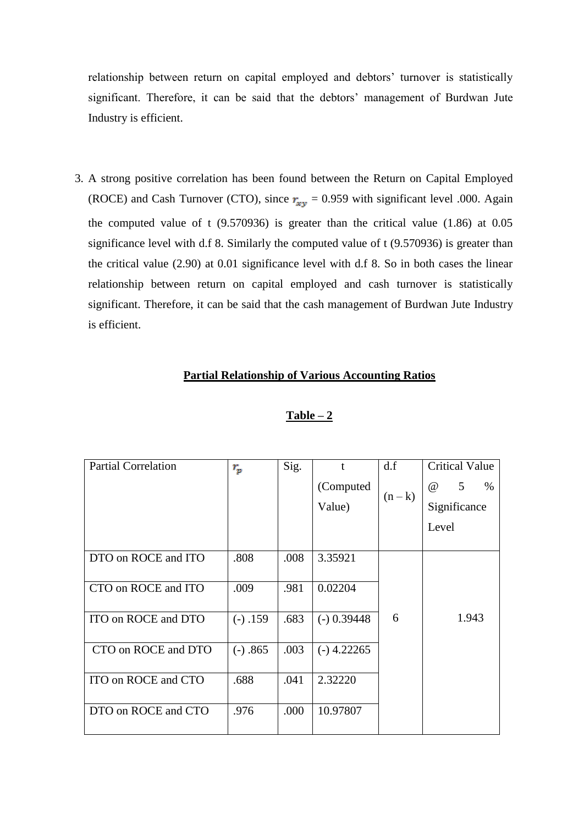relationship between return on capital employed and debtors' turnover is statistically significant. Therefore, it can be said that the debtors' management of Burdwan Jute Industry is efficient.

3. A strong positive correlation has been found between the Return on Capital Employed (ROCE) and Cash Turnover (CTO), since  $r_{xy} = 0.959$  with significant level .000. Again the computed value of t (9.570936) is greater than the critical value (1.86) at 0.05 significance level with d.f 8. Similarly the computed value of t (9.570936) is greater than the critical value (2.90) at 0.01 significance level with d.f 8. So in both cases the linear relationship between return on capital employed and cash turnover is statistically significant. Therefore, it can be said that the cash management of Burdwan Jute Industry is efficient.

# **Partial Relationship of Various Accounting Ratios**

| <b>Partial Correlation</b> | $r_p$      | Sig. | $\mathbf{f}$  | df      | <b>Critical Value</b> |
|----------------------------|------------|------|---------------|---------|-----------------------|
|                            |            |      | (Computed     |         | 5<br>$\omega$<br>%    |
|                            |            |      | Value)        | $(n-k)$ | Significance          |
|                            |            |      |               |         | Level                 |
|                            |            |      |               |         |                       |
| DTO on ROCE and ITO        | .808       | .008 | 3.35921       |         |                       |
|                            |            |      |               |         |                       |
| CTO on ROCE and ITO        | .009       | .981 | 0.02204       |         |                       |
|                            |            |      |               |         |                       |
| ITO on ROCE and DTO        | $(-) .159$ | .683 | $(-)$ 0.39448 | 6       | 1.943                 |
|                            |            |      |               |         |                       |
| CTO on ROCE and DTO        | $(-) .865$ | .003 | $(-)$ 4.22265 |         |                       |
|                            |            |      |               |         |                       |
| ITO on ROCE and CTO        | .688       | .041 | 2.32220       |         |                       |
|                            |            |      |               |         |                       |
| DTO on ROCE and CTO        | .976       | .000 | 10.97807      |         |                       |
|                            |            |      |               |         |                       |

#### **Table – 2**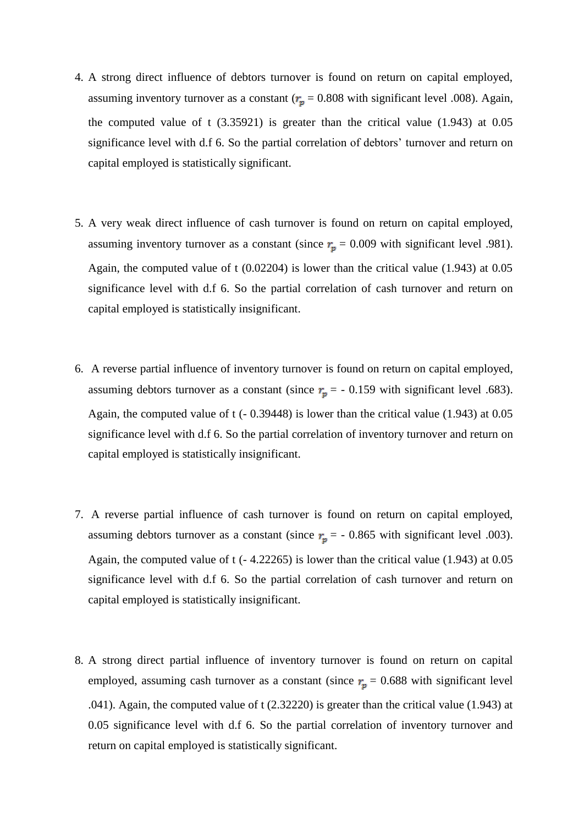- 4. A strong direct influence of debtors turnover is found on return on capital employed, assuming inventory turnover as a constant ( $r_p = 0.808$  with significant level .008). Again, the computed value of  $t$  (3.35921) is greater than the critical value (1.943) at 0.05 significance level with d.f 6. So the partial correlation of debtors' turnover and return on capital employed is statistically significant.
- 5. A very weak direct influence of cash turnover is found on return on capital employed, assuming inventory turnover as a constant (since  $r_p = 0.009$  with significant level .981). Again, the computed value of t (0.02204) is lower than the critical value (1.943) at 0.05 significance level with d.f 6. So the partial correlation of cash turnover and return on capital employed is statistically insignificant.
- 6. A reverse partial influence of inventory turnover is found on return on capital employed, assuming debtors turnover as a constant (since  $r_p = -0.159$  with significant level .683). Again, the computed value of t (- 0.39448) is lower than the critical value (1.943) at 0.05 significance level with d.f 6. So the partial correlation of inventory turnover and return on capital employed is statistically insignificant.
- 7. A reverse partial influence of cash turnover is found on return on capital employed, assuming debtors turnover as a constant (since  $r_p = -0.865$  with significant level .003). Again, the computed value of t (- 4.22265) is lower than the critical value (1.943) at 0.05 significance level with d.f 6. So the partial correlation of cash turnover and return on capital employed is statistically insignificant.
- 8. A strong direct partial influence of inventory turnover is found on return on capital employed, assuming cash turnover as a constant (since  $r_p = 0.688$  with significant level .041). Again, the computed value of t (2.32220) is greater than the critical value (1.943) at 0.05 significance level with d.f 6. So the partial correlation of inventory turnover and return on capital employed is statistically significant.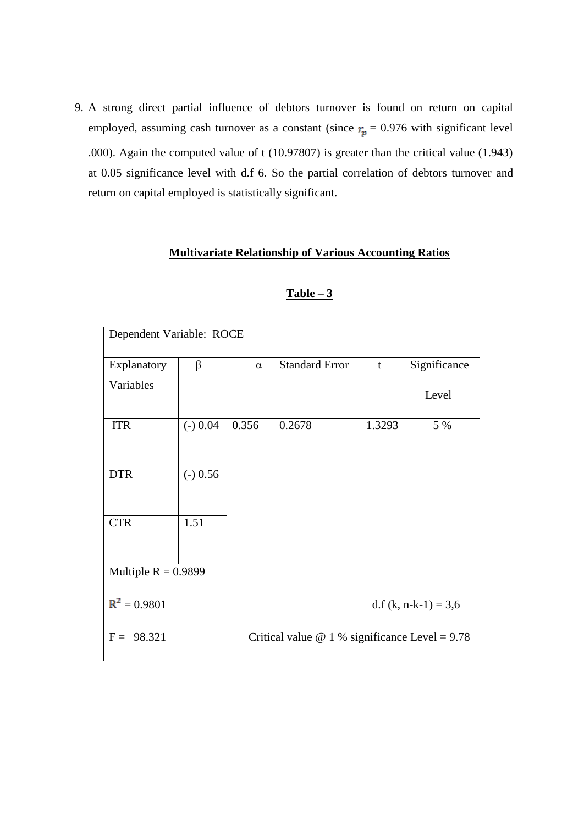9. A strong direct partial influence of debtors turnover is found on return on capital employed, assuming cash turnover as a constant (since  $r_p = 0.976$  with significant level .000). Again the computed value of t (10.97807) is greater than the critical value (1.943) at 0.05 significance level with d.f 6. So the partial correlation of debtors turnover and return on capital employed is statistically significant.

# **Multivariate Relationship of Various Accounting Ratios**

| Dependent Variable: ROCE                                                 |                        |          |                       |              |              |  |  |
|--------------------------------------------------------------------------|------------------------|----------|-----------------------|--------------|--------------|--|--|
| Explanatory                                                              | $\beta$                | $\alpha$ | <b>Standard Error</b> | $\mathbf{t}$ | Significance |  |  |
| Variables                                                                |                        |          |                       |              | Level        |  |  |
| <b>ITR</b>                                                               | $(-) 0.04$             | 0.356    | 0.2678                | 1.3293       | 5 %          |  |  |
| <b>DTR</b>                                                               | $(-) 0.56$             |          |                       |              |              |  |  |
| <b>CTR</b>                                                               | 1.51                   |          |                       |              |              |  |  |
| Multiple $R = 0.9899$                                                    |                        |          |                       |              |              |  |  |
| $R^2 = 0.9801$                                                           | d.f (k, n-k-1) = $3,6$ |          |                       |              |              |  |  |
| 98.321<br>Critical value $\omega$ 1 % significance Level = 9.78<br>$F =$ |                        |          |                       |              |              |  |  |

## **Table – 3**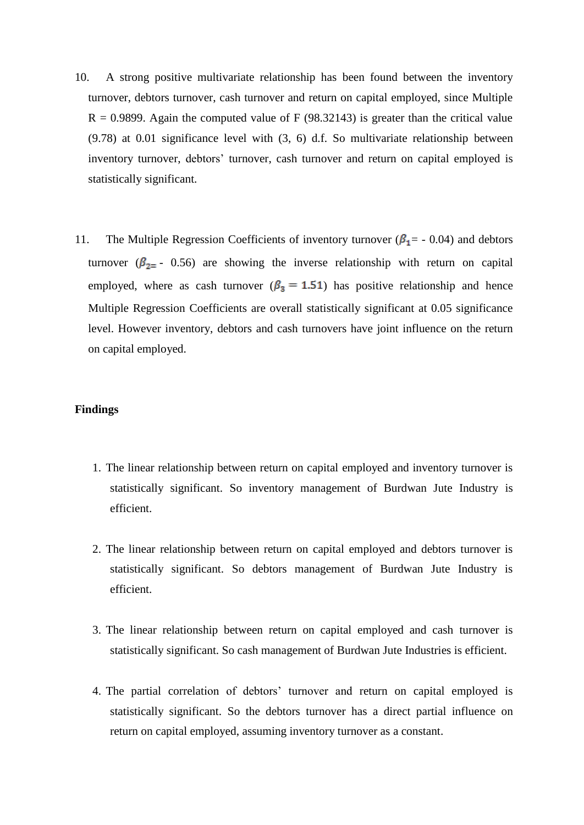- 10. A strong positive multivariate relationship has been found between the inventory turnover, debtors turnover, cash turnover and return on capital employed, since Multiple  $R = 0.9899$ . Again the computed value of F (98.32143) is greater than the critical value (9.78) at 0.01 significance level with (3, 6) d.f. So multivariate relationship between inventory turnover, debtors' turnover, cash turnover and return on capital employed is statistically significant.
- 11. The Multiple Regression Coefficients of inventory turnover ( $\beta_1$  = 0.04) and debtors turnover ( $\beta_{2}$  - 0.56) are showing the inverse relationship with return on capital employed, where as cash turnover ( $\beta_3 = 1.51$ ) has positive relationship and hence Multiple Regression Coefficients are overall statistically significant at 0.05 significance level. However inventory, debtors and cash turnovers have joint influence on the return on capital employed.

#### **Findings**

- 1. The linear relationship between return on capital employed and inventory turnover is statistically significant. So inventory management of Burdwan Jute Industry is efficient.
- 2. The linear relationship between return on capital employed and debtors turnover is statistically significant. So debtors management of Burdwan Jute Industry is efficient.
- 3. The linear relationship between return on capital employed and cash turnover is statistically significant. So cash management of Burdwan Jute Industries is efficient.
- 4. The partial correlation of debtors' turnover and return on capital employed is statistically significant. So the debtors turnover has a direct partial influence on return on capital employed, assuming inventory turnover as a constant.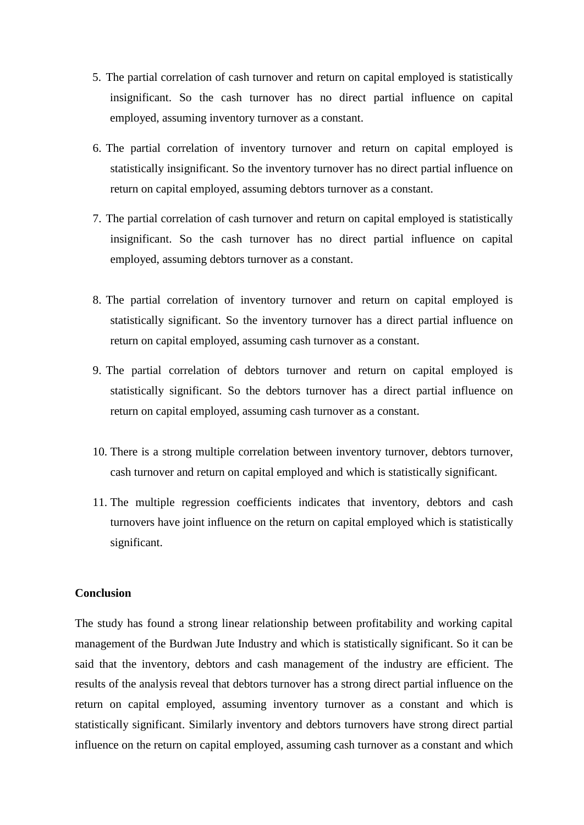- 5. The partial correlation of cash turnover and return on capital employed is statistically insignificant. So the cash turnover has no direct partial influence on capital employed, assuming inventory turnover as a constant.
- 6. The partial correlation of inventory turnover and return on capital employed is statistically insignificant. So the inventory turnover has no direct partial influence on return on capital employed, assuming debtors turnover as a constant.
- 7. The partial correlation of cash turnover and return on capital employed is statistically insignificant. So the cash turnover has no direct partial influence on capital employed, assuming debtors turnover as a constant.
- 8. The partial correlation of inventory turnover and return on capital employed is statistically significant. So the inventory turnover has a direct partial influence on return on capital employed, assuming cash turnover as a constant.
- 9. The partial correlation of debtors turnover and return on capital employed is statistically significant. So the debtors turnover has a direct partial influence on return on capital employed, assuming cash turnover as a constant.
- 10. There is a strong multiple correlation between inventory turnover, debtors turnover, cash turnover and return on capital employed and which is statistically significant.
- 11. The multiple regression coefficients indicates that inventory, debtors and cash turnovers have joint influence on the return on capital employed which is statistically significant.

## **Conclusion**

The study has found a strong linear relationship between profitability and working capital management of the Burdwan Jute Industry and which is statistically significant. So it can be said that the inventory, debtors and cash management of the industry are efficient. The results of the analysis reveal that debtors turnover has a strong direct partial influence on the return on capital employed, assuming inventory turnover as a constant and which is statistically significant. Similarly inventory and debtors turnovers have strong direct partial influence on the return on capital employed, assuming cash turnover as a constant and which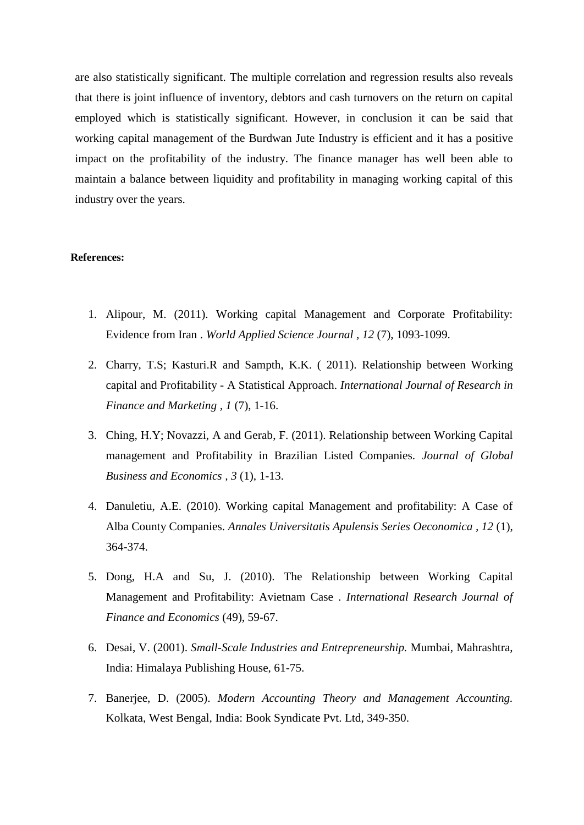are also statistically significant. The multiple correlation and regression results also reveals that there is joint influence of inventory, debtors and cash turnovers on the return on capital employed which is statistically significant. However, in conclusion it can be said that working capital management of the Burdwan Jute Industry is efficient and it has a positive impact on the profitability of the industry. The finance manager has well been able to maintain a balance between liquidity and profitability in managing working capital of this industry over the years.

## **References:**

- 1. Alipour, M. (2011). Working capital Management and Corporate Profitability: Evidence from Iran . *World Applied Science Journal , 12* (7), 1093-1099.
- 2. Charry, T.S; Kasturi.R and Sampth, K.K. ( 2011). Relationship between Working capital and Profitability - A Statistical Approach. *International Journal of Research in Finance and Marketing , 1* (7), 1-16.
- 3. Ching, H.Y; Novazzi, A and Gerab, F. (2011). Relationship between Working Capital management and Profitability in Brazilian Listed Companies. *Journal of Global Business and Economics , 3* (1), 1-13.
- 4. Danuletiu, A.E. (2010). Working capital Management and profitability: A Case of Alba County Companies. *Annales Universitatis Apulensis Series Oeconomica , 12* (1), 364-374.
- 5. Dong, H.A and Su, J. (2010). The Relationship between Working Capital Management and Profitability: Avietnam Case . *International Research Journal of Finance and Economics* (49), 59-67.
- 6. Desai, V. (2001). *Small-Scale Industries and Entrepreneurship.* Mumbai, Mahrashtra, India: Himalaya Publishing House, 61-75.
- 7. Banerjee, D. (2005). *Modern Accounting Theory and Management Accounting.* Kolkata, West Bengal, India: Book Syndicate Pvt. Ltd, 349-350.